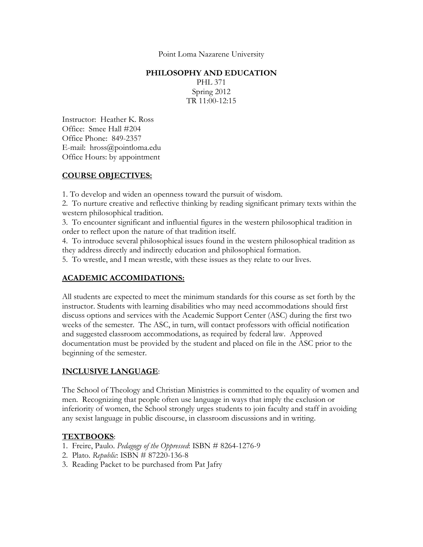Point Loma Nazarene University

#### **PHILOSOPHY AND EDUCATION**

PHL 371 Spring 2012 TR 11:00-12:15

Instructor: Heather K. Ross Office: Smee Hall #204 Office Phone: 849-2357 E-mail: hross@pointloma.edu Office Hours: by appointment

## **COURSE OBJECTIVES:**

1. To develop and widen an openness toward the pursuit of wisdom.

2. To nurture creative and reflective thinking by reading significant primary texts within the western philosophical tradition.

3. To encounter significant and influential figures in the western philosophical tradition in order to reflect upon the nature of that tradition itself.

4. To introduce several philosophical issues found in the western philosophical tradition as they address directly and indirectly education and philosophical formation.

5. To wrestle, and I mean wrestle, with these issues as they relate to our lives.

# **ACADEMIC ACCOMIDATIONS:**

All students are expected to meet the minimum standards for this course as set forth by the instructor. Students with learning disabilities who may need accommodations should first discuss options and services with the Academic Support Center (ASC) during the first two weeks of the semester. The ASC, in turn, will contact professors with official notification and suggested classroom accommodations, as required by federal law. Approved documentation must be provided by the student and placed on file in the ASC prior to the beginning of the semester.

## **INCLUSIVE LANGUAGE**:

The School of Theology and Christian Ministries is committed to the equality of women and men. Recognizing that people often use language in ways that imply the exclusion or inferiority of women, the School strongly urges students to join faculty and staff in avoiding any sexist language in public discourse, in classroom discussions and in writing.

## **TEXTBOOKS**:

- 1. Freire, Paulo. *Pedagogy of the Oppressed*: ISBN # 8264-1276-9
- 2. Plato. *Republic*: ISBN # 87220-136-8
- 3. Reading Packet to be purchased from Pat Jafry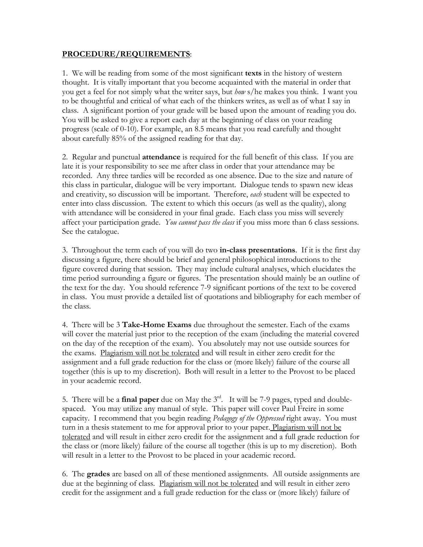### **PROCEDURE/REQUIREMENTS**:

1. We will be reading from some of the most significant **texts** in the history of western thought. It is vitally important that you become acquainted with the material in order that you get a feel for not simply what the writer says, but *how* s/he makes you think. I want you to be thoughtful and critical of what each of the thinkers writes, as well as of what I say in class. A significant portion of your grade will be based upon the amount of reading you do. You will be asked to give a report each day at the beginning of class on your reading progress (scale of 0-10). For example, an 8.5 means that you read carefully and thought about carefully 85% of the assigned reading for that day.

2. Regular and punctual **attendance** is required for the full benefit of this class. If you are late it is your responsibility to see me after class in order that your attendance may be recorded. Any three tardies will be recorded as one absence. Due to the size and nature of this class in particular, dialogue will be very important. Dialogue tends to spawn new ideas and creativity, so discussion will be important. Therefore, *each* student will be expected to enter into class discussion. The extent to which this occurs (as well as the quality), along with attendance will be considered in your final grade. Each class you miss will severely affect your participation grade. *You cannot pass the class* if you miss more than 6 class sessions. See the catalogue.

3. Throughout the term each of you will do two **in-class presentations**. If it is the first day discussing a figure, there should be brief and general philosophical introductions to the figure covered during that session. They may include cultural analyses, which elucidates the time period surrounding a figure or figures. The presentation should mainly be an outline of the text for the day. You should reference 7-9 significant portions of the text to be covered in class. You must provide a detailed list of quotations and bibliography for each member of the class.

4. There will be 3 **Take-Home Exams** due throughout the semester. Each of the exams will cover the material just prior to the reception of the exam (including the material covered on the day of the reception of the exam). You absolutely may not use outside sources for the exams. Plagiarism will not be tolerated and will result in either zero credit for the assignment and a full grade reduction for the class or (more likely) failure of the course all together (this is up to my discretion). Both will result in a letter to the Provost to be placed in your academic record.

5. There will be a **final paper** due on May the 3rd. It will be 7-9 pages, typed and doublespaced. You may utilize any manual of style. This paper will cover Paul Freire in some capacity. I recommend that you begin reading *Pedagogy of the Oppressed* right away. You must turn in a thesis statement to me for approval prior to your paper. Plagiarism will not be tolerated and will result in either zero credit for the assignment and a full grade reduction for the class or (more likely) failure of the course all together (this is up to my discretion). Both will result in a letter to the Provost to be placed in your academic record.

6. The **grades** are based on all of these mentioned assignments. All outside assignments are due at the beginning of class. Plagiarism will not be tolerated and will result in either zero credit for the assignment and a full grade reduction for the class or (more likely) failure of